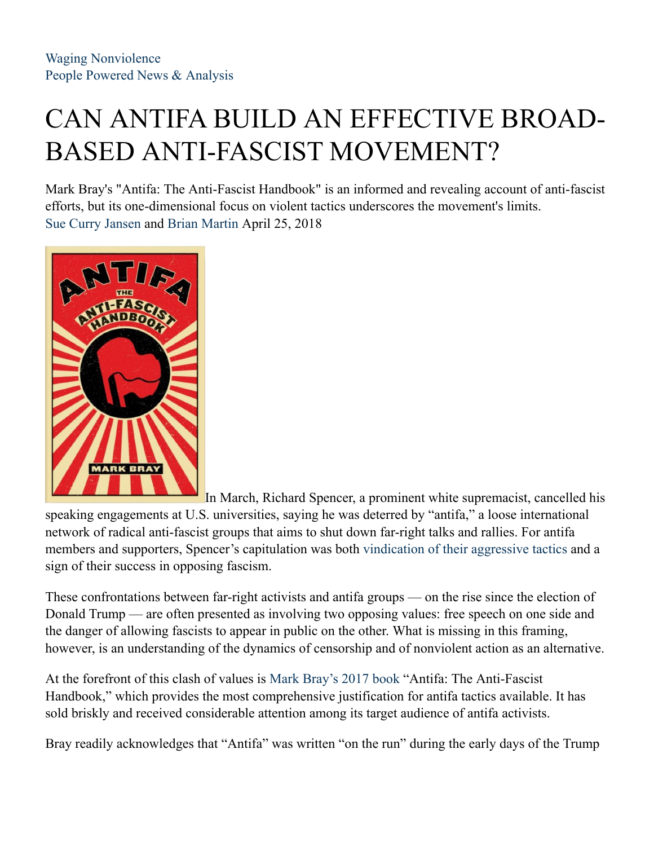# CAN ANTIFA BUILD AN EFFECTIVE BROAD-BASED ANTI-FASCIST MOVEMENT?

Mark Bray's "Antifa: The Anti-Fascist Handbook" is an informed and revealing account of anti-fascist efforts, but its one-dimensional focus on violent tactics underscores the movement's limits. Sue Curry Jansen and Brian Martin April 25, 2018



In March, Richard Spencer, a prominent white supremacist, cancelled his speaking engagements at U.S. universities, saying he was deterred by "antifa," a loose international network of radical anti-fascist groups that aims to shut down far-right talks and rallies. For antifa members and supporters, Spencer's capitulation was both vindication of their aggressive tactics and a sign of their success in opposing fascism.

These confrontations between far-right activists and antifa groups — on the rise since the election of Donald Trump — are often presented as involving two opposing values: free speech on one side and the danger of allowing fascists to appear in public on the other. What is missing in this framing, however, is an understanding of the dynamics of censorship and of nonviolent action as an alternative.

At the forefront of this clash of values is Mark Bray's 2017 book "Antifa: The Anti-Fascist Handbook," which provides the most comprehensive justification for antifa tactics available. It has sold briskly and received considerable attention among its target audience of antifa activists.

Bray readily acknowledges that "Antifa" was written "on the run" during the early days of the Trump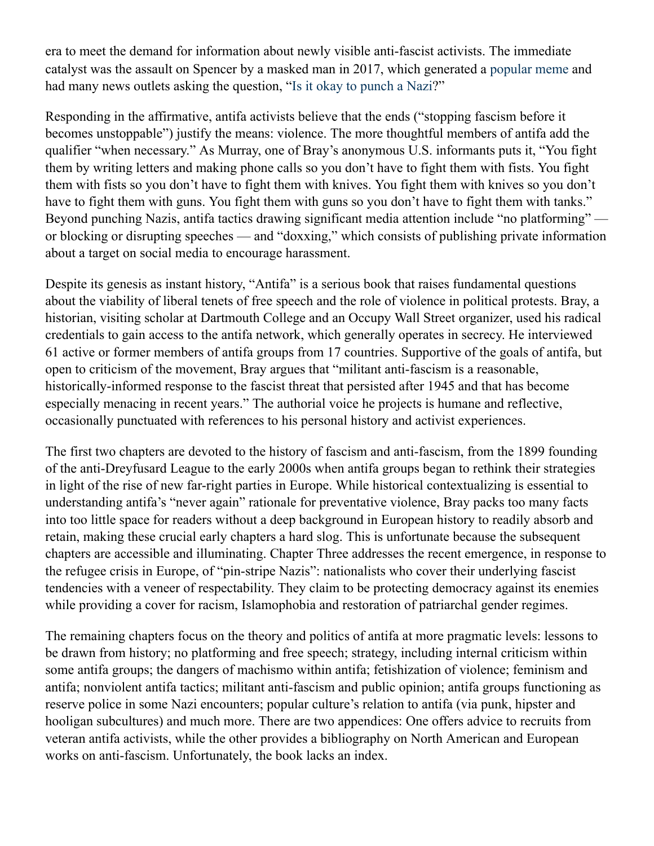era to meet the demand for information about newly visible anti-fascist activists. The immediate catalyst was the assault on Spencer by a masked man in 2017, which generated a popular meme and had many news outlets asking the question, "Is it okay to punch a Nazi?"

Responding in the affirmative, antifa activists believe that the ends ("stopping fascism before it becomes unstoppable") justify the means: violence. The more thoughtful members of antifa add the qualifier "when necessary." As Murray, one of Bray's anonymous U.S. informants puts it, "You fight them by writing letters and making phone calls so you don't have to fight them with fists. You fight them with fists so you don't have to fight them with knives. You fight them with knives so you don't have to fight them with guns. You fight them with guns so you don't have to fight them with tanks." Beyond punching Nazis, antifa tactics drawing significant media attention include "no platforming" or blocking or disrupting speeches — and "doxxing," which consists of publishing private information about a target on social media to encourage harassment.

Despite its genesis as instant history, "Antifa" is a serious book that raises fundamental questions about the viability of liberal tenets of free speech and the role of violence in political protests. Bray, a historian, visiting scholar at Dartmouth College and an Occupy Wall Street organizer, used his radical credentials to gain access to the antifa network, which generally operates in secrecy. He interviewed 61 active or former members of antifa groups from 17 countries. Supportive of the goals of antifa, but open to criticism of the movement, Bray argues that "militant anti-fascism is a reasonable, historically-informed response to the fascist threat that persisted after 1945 and that has become especially menacing in recent years." The authorial voice he projects is humane and reflective, occasionally punctuated with references to his personal history and activist experiences.

The first two chapters are devoted to the history of fascism and anti-fascism, from the 1899 founding of the anti-Dreyfusard League to the early 2000s when antifa groups began to rethink their strategies in light of the rise of new far-right parties in Europe. While historical contextualizing is essential to understanding antifa's "never again" rationale for preventative violence, Bray packs too many facts into too little space for readers without a deep background in European history to readily absorb and retain, making these crucial early chapters a hard slog. This is unfortunate because the subsequent chapters are accessible and illuminating. Chapter Three addresses the recent emergence, in response to the refugee crisis in Europe, of "pin-stripe Nazis": nationalists who cover their underlying fascist tendencies with a veneer of respectability. They claim to be protecting democracy against its enemies while providing a cover for racism, Islamophobia and restoration of patriarchal gender regimes.

The remaining chapters focus on the theory and politics of antifa at more pragmatic levels: lessons to be drawn from history; no platforming and free speech; strategy, including internal criticism within some antifa groups; the dangers of machismo within antifa; fetishization of violence; feminism and antifa; nonviolent antifa tactics; militant anti-fascism and public opinion; antifa groups functioning as reserve police in some Nazi encounters; popular culture's relation to antifa (via punk, hipster and hooligan subcultures) and much more. There are two appendices: One offers advice to recruits from veteran antifa activists, while the other provides a bibliography on North American and European works on anti-fascism. Unfortunately, the book lacks an index.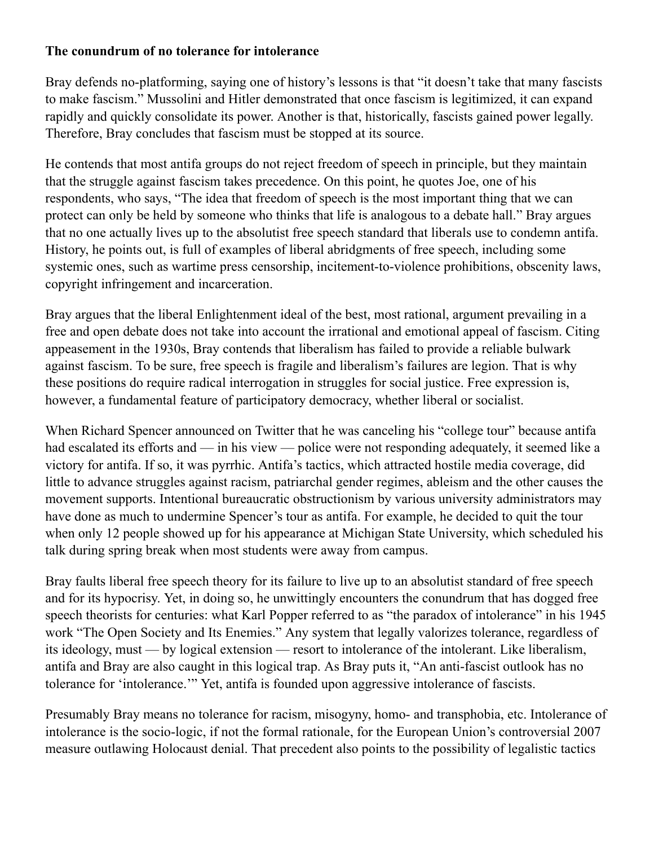#### **The conundrum of no tolerance for intolerance**

Bray defends no-platforming, saying one of history's lessons is that "it doesn't take that many fascists to make fascism." Mussolini and Hitler demonstrated that once fascism is legitimized, it can expand rapidly and quickly consolidate its power. Another is that, historically, fascists gained power legally. Therefore, Bray concludes that fascism must be stopped at its source.

He contends that most antifa groups do not reject freedom of speech in principle, but they maintain that the struggle against fascism takes precedence. On this point, he quotes Joe, one of his respondents, who says, "The idea that freedom of speech is the most important thing that we can protect can only be held by someone who thinks that life is analogous to a debate hall." Bray argues that no one actually lives up to the absolutist free speech standard that liberals use to condemn antifa. History, he points out, is full of examples of liberal abridgments of free speech, including some systemic ones, such as wartime press censorship, incitement-to-violence prohibitions, obscenity laws, copyright infringement and incarceration.

Bray argues that the liberal Enlightenment ideal of the best, most rational, argument prevailing in a free and open debate does not take into account the irrational and emotional appeal of fascism. Citing appeasement in the 1930s, Bray contends that liberalism has failed to provide a reliable bulwark against fascism. To be sure, free speech is fragile and liberalism's failures are legion. That is why these positions do require radical interrogation in struggles for social justice. Free expression is, however, a fundamental feature of participatory democracy, whether liberal or socialist.

When Richard Spencer announced on Twitter that he was canceling his "college tour" because antifa had escalated its efforts and — in his view — police were not responding adequately, it seemed like a victory for antifa. If so, it was pyrrhic. Antifa's tactics, which attracted hostile media coverage, did little to advance struggles against racism, patriarchal gender regimes, ableism and the other causes the movement supports. Intentional bureaucratic obstructionism by various university administrators may have done as much to undermine Spencer's tour as antifa. For example, he decided to quit the tour when only 12 people showed up for his appearance at Michigan State University, which scheduled his talk during spring break when most students were away from campus.

Bray faults liberal free speech theory for its failure to live up to an absolutist standard of free speech and for its hypocrisy. Yet, in doing so, he unwittingly encounters the conundrum that has dogged free speech theorists for centuries: what Karl Popper referred to as "the paradox of intolerance" in his 1945 work "The Open Society and Its Enemies." Any system that legally valorizes tolerance, regardless of its ideology, must — by logical extension — resort to intolerance of the intolerant. Like liberalism, antifa and Bray are also caught in this logical trap. As Bray puts it, "An anti-fascist outlook has no tolerance for 'intolerance.'" Yet, antifa is founded upon aggressive intolerance of fascists.

Presumably Bray means no tolerance for racism, misogyny, homo- and transphobia, etc. Intolerance of intolerance is the socio-logic, if not the formal rationale, for the European Union's controversial 2007 measure outlawing Holocaust denial. That precedent also points to the possibility of legalistic tactics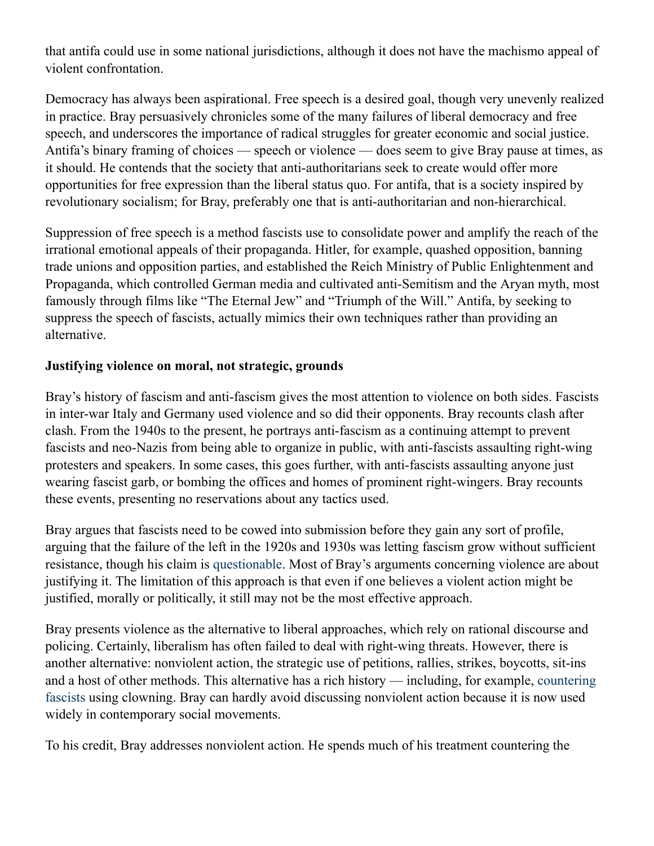that antifa could use in some national jurisdictions, although it does not have the machismo appeal of violent confrontation.

Democracy has always been aspirational. Free speech is a desired goal, though very unevenly realized in practice. Bray persuasively chronicles some of the many failures of liberal democracy and free speech, and underscores the importance of radical struggles for greater economic and social justice. Antifa's binary framing of choices — speech or violence — does seem to give Bray pause at times, as it should. He contends that the society that anti-authoritarians seek to create would offer more opportunities for free expression than the liberal status quo. For antifa, that is a society inspired by revolutionary socialism; for Bray, preferably one that is anti-authoritarian and non-hierarchical.

Suppression of free speech is a method fascists use to consolidate power and amplify the reach of the irrational emotional appeals of their propaganda. Hitler, for example, quashed opposition, banning trade unions and opposition parties, and established the Reich Ministry of Public Enlightenment and Propaganda, which controlled German media and cultivated anti-Semitism and the Aryan myth, most famously through films like "The Eternal Jew" and "Triumph of the Will." Antifa, by seeking to suppress the speech of fascists, actually mimics their own techniques rather than providing an alternative.

#### **Justifying violence on moral, not strategic, grounds**

Bray's history of fascism and anti-fascism gives the most attention to violence on both sides. Fascists in inter-war Italy and Germany used violence and so did their opponents. Bray recounts clash after clash. From the 1940s to the present, he portrays anti-fascism as a continuing attempt to prevent fascists and neo-Nazis from being able to organize in public, with anti-fascists assaulting right-wing protesters and speakers. In some cases, this goes further, with anti-fascists assaulting anyone just wearing fascist garb, or bombing the offices and homes of prominent right-wingers. Bray recounts these events, presenting no reservations about any tactics used.

Bray argues that fascists need to be cowed into submission before they gain any sort of profile, arguing that the failure of the left in the 1920s and 1930s was letting fascism grow without sufficient resistance, though his claim is questionable. Most of Bray's arguments concerning violence are about justifying it. The limitation of this approach is that even if one believes a violent action might be justified, morally or politically, it still may not be the most effective approach.

Bray presents violence as the alternative to liberal approaches, which rely on rational discourse and policing. Certainly, liberalism has often failed to deal with right-wing threats. However, there is another alternative: nonviolent action, the strategic use of petitions, rallies, strikes, boycotts, sit-ins and a host of other methods. This alternative has a rich history — including, for example, countering fascists using clowning. Bray can hardly avoid discussing nonviolent action because it is now used widely in contemporary social movements.

To his credit, Bray addresses nonviolent action. He spends much of his treatment countering the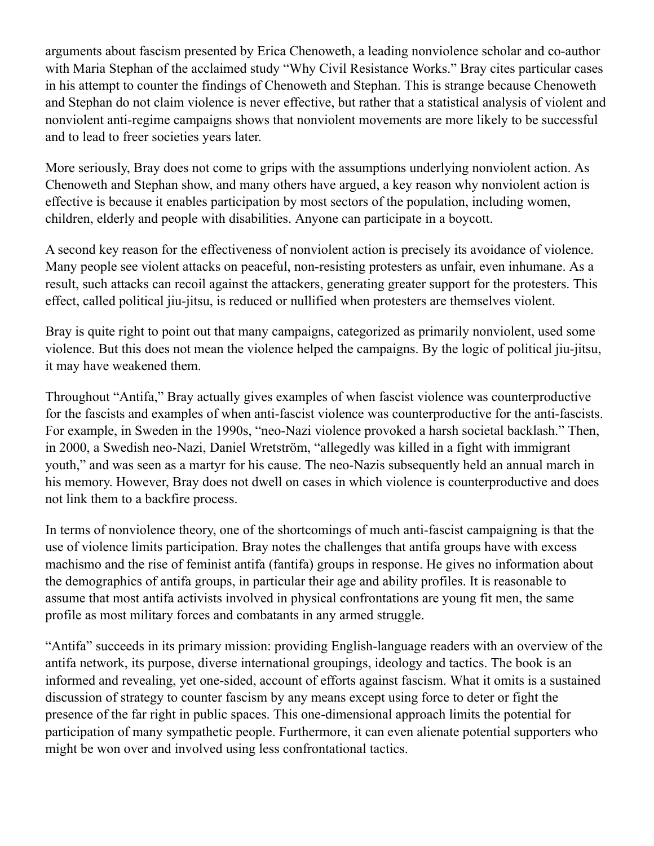arguments about fascism presented by Erica Chenoweth, a leading nonviolence scholar and co-author with Maria Stephan of the acclaimed study "Why Civil Resistance Works." Bray cites particular cases in his attempt to counter the findings of Chenoweth and Stephan. This is strange because Chenoweth and Stephan do not claim violence is never effective, but rather that a statistical analysis of violent and nonviolent anti-regime campaigns shows that nonviolent movements are more likely to be successful and to lead to freer societies years later.

More seriously, Bray does not come to grips with the assumptions underlying nonviolent action. As Chenoweth and Stephan show, and many others have argued, a key reason why nonviolent action is effective is because it enables participation by most sectors of the population, including women, children, elderly and people with disabilities. Anyone can participate in a boycott.

A second key reason for the effectiveness of nonviolent action is precisely its avoidance of violence. Many people see violent attacks on peaceful, non-resisting protesters as unfair, even inhumane. As a result, such attacks can recoil against the attackers, generating greater support for the protesters. This effect, called political jiu-jitsu, is reduced or nullified when protesters are themselves violent.

Bray is quite right to point out that many campaigns, categorized as primarily nonviolent, used some violence. But this does not mean the violence helped the campaigns. By the logic of political jiu-jitsu, it may have weakened them.

Throughout "Antifa," Bray actually gives examples of when fascist violence was counterproductive for the fascists and examples of when anti-fascist violence was counterproductive for the anti-fascists. For example, in Sweden in the 1990s, "neo-Nazi violence provoked a harsh societal backlash." Then, in 2000, a Swedish neo-Nazi, Daniel Wretström, "allegedly was killed in a fight with immigrant youth," and was seen as a martyr for his cause. The neo-Nazis subsequently held an annual march in his memory. However, Bray does not dwell on cases in which violence is counterproductive and does not link them to a backfire process.

In terms of nonviolence theory, one of the shortcomings of much anti-fascist campaigning is that the use of violence limits participation. Bray notes the challenges that antifa groups have with excess machismo and the rise of feminist antifa (fantifa) groups in response. He gives no information about the demographics of antifa groups, in particular their age and ability profiles. It is reasonable to assume that most antifa activists involved in physical confrontations are young fit men, the same profile as most military forces and combatants in any armed struggle.

"Antifa" succeeds in its primary mission: providing English-language readers with an overview of the antifa network, its purpose, diverse international groupings, ideology and tactics. The book is an informed and revealing, yet one-sided, account of efforts against fascism. What it omits is a sustained discussion of strategy to counter fascism by any means except using force to deter or fight the presence of the far right in public spaces. This one-dimensional approach limits the potential for participation of many sympathetic people. Furthermore, it can even alienate potential supporters who might be won over and involved using less confrontational tactics.